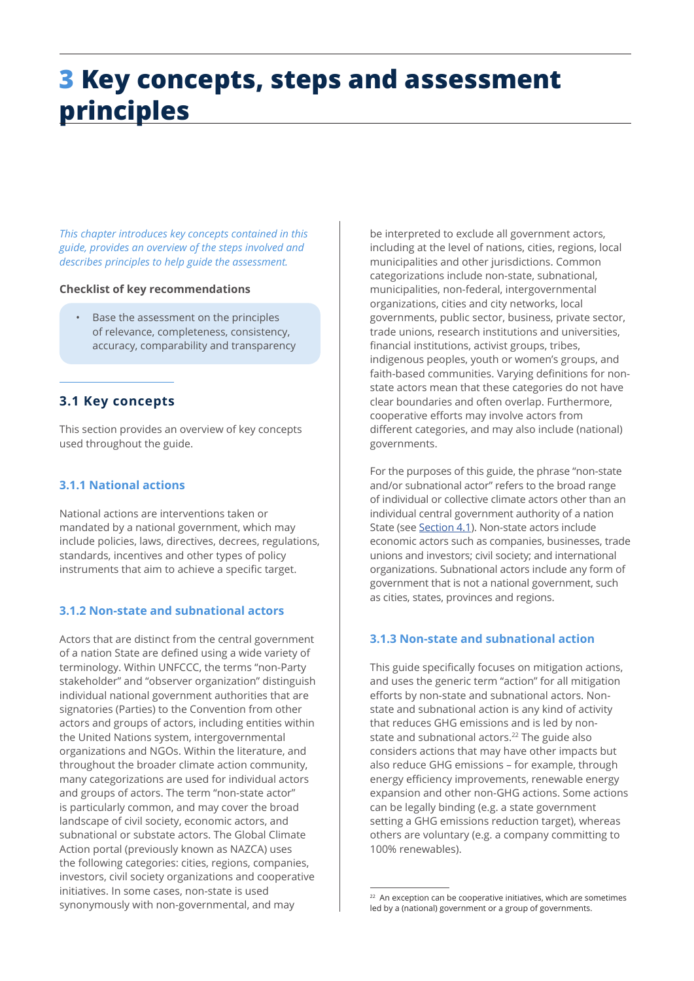# **3 Key concepts, steps and assessment principles**

*This chapter introduces key concepts contained in this guide, provides an overview of the steps involved and describes principles to help guide the assessment.* 

# **Checklist of key recommendations**

• Base the assessment on the principles of relevance, completeness, consistency, accuracy, comparability and transparency

# **3.1 Key concepts**

This section provides an overview of key concepts used throughout the guide.

# **3.1.1 National actions**

National actions are interventions taken or mandated by a national government, which may include policies, laws, directives, decrees, regulations, standards, incentives and other types of policy instruments that aim to achieve a specific target.

# **3.1.2 Non-state and subnational actors**

Actors that are distinct from the central government of a nation State are defined using a wide variety of terminology. Within UNFCCC, the terms "non-Party stakeholder" and "observer organization" distinguish individual national government authorities that are signatories (Parties) to the Convention from other actors and groups of actors, including entities within the United Nations system, intergovernmental organizations and NGOs. Within the literature, and throughout the broader climate action community, many categorizations are used for individual actors and groups of actors. The term "non-state actor" is particularly common, and may cover the broad landscape of civil society, economic actors, and subnational or substate actors. The Global Climate Action portal (previously known as NAZCA) uses the following categories: cities, regions, companies, investors, civil society organizations and cooperative initiatives. In some cases, non-state is used synonymously with non-governmental, and may

be interpreted to exclude all government actors, including at the level of nations, cities, regions, local municipalities and other jurisdictions. Common categorizations include non-state, subnational, municipalities, non-federal, intergovernmental organizations, cities and city networks, local governments, public sector, business, private sector, trade unions, research institutions and universities, financial institutions, activist groups, tribes, indigenous peoples, youth or women's groups, and faith-based communities. Varying definitions for nonstate actors mean that these categories do not have clear boundaries and often overlap. Furthermore, cooperative efforts may involve actors from different categories, and may also include (national) governments.

For the purposes of this guide, the phrase "non-state and/or subnational actor" refers to the broad range of individual or collective climate actors other than an individual central government authority of a nation State (see Section 4.1). Non-state actors include economic actors such as companies, businesses, trade unions and investors; civil society; and international organizations. Subnational actors include any form of government that is not a national government, such as cities, states, provinces and regions.

# **3.1.3 Non-state and subnational action**

This guide specifically focuses on mitigation actions, and uses the generic term "action" for all mitigation efforts by non-state and subnational actors. Nonstate and subnational action is any kind of activity that reduces GHG emissions and is led by nonstate and subnational actors.<sup>22</sup> The guide also considers actions that may have other impacts but also reduce GHG emissions – for example, through energy efficiency improvements, renewable energy expansion and other non-GHG actions. Some actions can be legally binding (e.g. a state government setting a GHG emissions reduction target), whereas others are voluntary (e.g. a company committing to 100% renewables).

 $22$  An exception can be cooperative initiatives, which are sometimes led by a (national) government or a group of governments.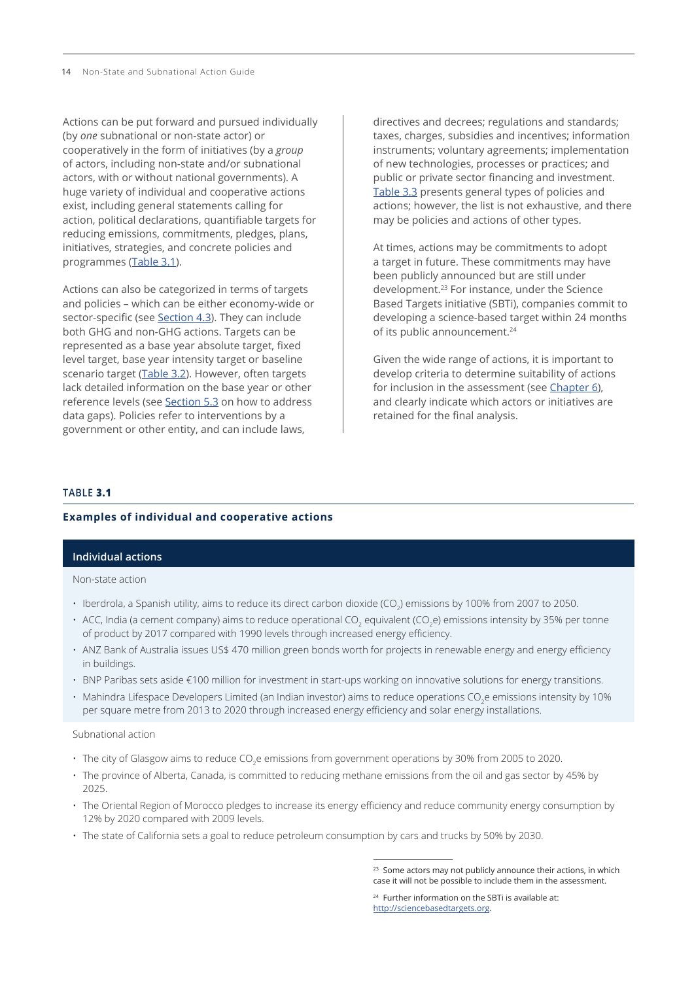14 Non-State and Subnational Action Guide

Actions can be put forward and pursued individually (by *one* subnational or non-state actor) or cooperatively in the form of initiatives (by a *group* of actors, including non-state and/or subnational actors, with or without national governments). A huge variety of individual and cooperative actions exist, including general statements calling for action, political declarations, quantifiable targets for reducing emissions, commitments, pledges, plans, initiatives, strategies, and concrete policies and programmes (Table 3.1).

Actions can also be categorized in terms of targets and policies – which can be either economy-wide or sector-specific (see Section 4.3). They can include both GHG and non-GHG actions. Targets can be represented as a base year absolute target, fixed level target, base year intensity target or baseline scenario target ([Table 3.2](#page-2-0)). However, often targets lack detailed information on the base year or other reference levels (see Section 5.3 on how to address data gaps). Policies refer to interventions by a government or other entity, and can include laws,

directives and decrees; regulations and standards; taxes, charges, subsidies and incentives; information instruments; voluntary agreements; implementation of new technologies, processes or practices; and public or private sector financing and investment. [Table](#page-3-0) 3.3 presents general types of policies and actions; however, the list is not exhaustive, and there may be policies and actions of other types.

At times, actions may be commitments to adopt a target in future. These commitments may have been publicly announced but are still under development.23 For instance, under the Science Based Targets initiative (SBTi), companies commit to developing a science-based target within 24 months of its public announcement.<sup>24</sup>

Given the wide range of actions, it is important to develop criteria to determine suitability of actions for inclusion in the assessment (see Chapter 6), and clearly indicate which actors or initiatives are retained for the final analysis.

#### **TABLE 3.1**

## **Examples of individual and cooperative actions**

#### **Individual actions**

Non-state action

- Iberdrola, a Spanish utility, aims to reduce its direct carbon dioxide (CO<sub>2</sub>) emissions by 100% from 2007 to 2050.
- $\cdot\,$  ACC, India (a cement company) aims to reduce operational CO $_2$  equivalent (CO $_2$ e) emissions intensity by 35% per tonne of product by 2017 compared with 1990 levels through increased energy efficiency.
- ANZ Bank of Australia issues US\$ 470 million green bonds worth for projects in renewable energy and energy efficiency in buildings.
- BNP Paribas sets aside €100 million for investment in start-ups working on innovative solutions for energy transitions.
- $\cdot$  Mahindra Lifespace Developers Limited (an Indian investor) aims to reduce operations CO<sub>2</sub>e emissions intensity by 10% per square metre from 2013 to 2020 through increased energy efficiency and solar energy installations.

## Subnational action

- $\cdot \,$  The city of Glasgow aims to reduce CO $_2$ e emissions from government operations by 30% from 2005 to 2020.
- The province of Alberta, Canada, is committed to reducing methane emissions from the oil and gas sector by 45% by 2025.
- The Oriental Region of Morocco pledges to increase its energy efficiency and reduce community energy consumption by 12% by 2020 compared with 2009 levels.
- The state of California sets a goal to reduce petroleum consumption by cars and trucks by 50% by 2030.

<sup>&</sup>lt;sup>23</sup> Some actors may not publicly announce their actions, in which case it will not be possible to include them in the assessment.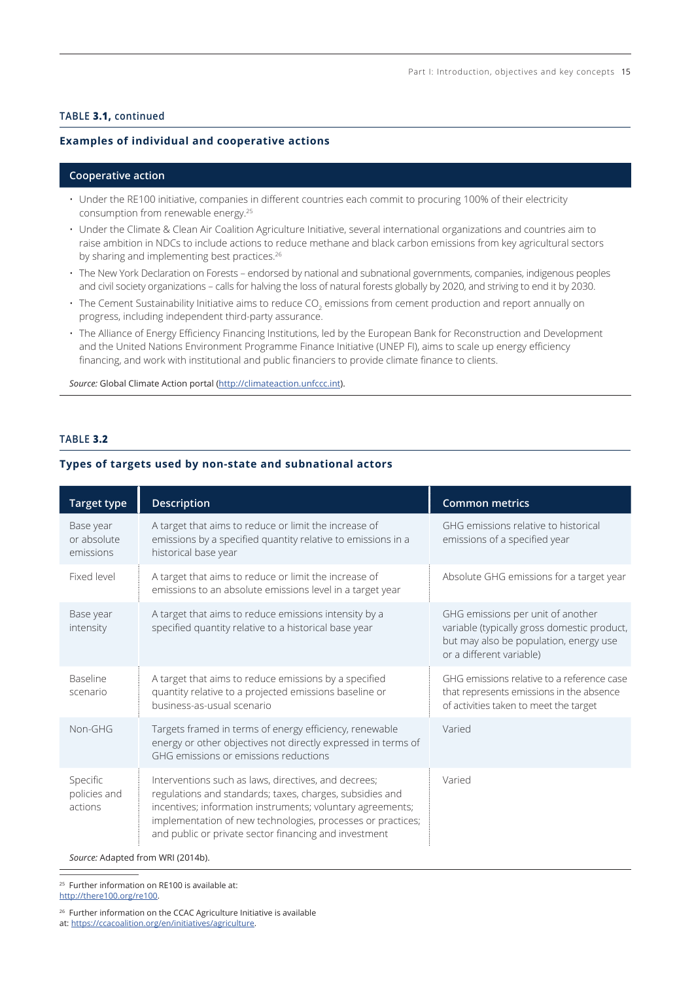### <span id="page-2-0"></span>**TABLE 3.1, continued**

### **Examples of individual and cooperative actions**

#### **Cooperative action**

- Under the RE100 initiative, companies in different countries each commit to procuring 100% of their electricity consumption from renewable energy.25
- Under the Climate & Clean Air Coalition Agriculture Initiative, several international organizations and countries aim to raise ambition in NDCs to include actions to reduce methane and black carbon emissions from key agricultural sectors by sharing and implementing best practices.<sup>26</sup>
- The New York Declaration on Forests endorsed by national and subnational governments, companies, indigenous peoples and civil society organizations – calls for halving the loss of natural forests globally by 2020, and striving to end it by 2030.
- $\cdot$  The Cement Sustainability Initiative aims to reduce CO $_2$  emissions from cement production and report annually on progress, including independent third-party assurance.
- The Alliance of Energy Efficiency Financing Institutions, led by the European Bank for Reconstruction and Development and the United Nations Environment Programme Finance Initiative (UNEP FI), aims to scale up energy efficiency financing, and work with institutional and public financiers to provide climate finance to clients.

Source: Global Climate Action portal (<http://climateaction.unfccc.int>).

# **TABLE 3.2**

#### **Types of targets used by non-state and subnational actors**

| <b>Target type</b>                    | <b>Description</b>                                                                                                                                                                                                                                                                                     | <b>Common metrics</b>                                                                                                                                  |  |
|---------------------------------------|--------------------------------------------------------------------------------------------------------------------------------------------------------------------------------------------------------------------------------------------------------------------------------------------------------|--------------------------------------------------------------------------------------------------------------------------------------------------------|--|
| Base year<br>or absolute<br>emissions | A target that aims to reduce or limit the increase of<br>emissions by a specified quantity relative to emissions in a<br>historical base year                                                                                                                                                          | GHG emissions relative to historical<br>emissions of a specified year                                                                                  |  |
| Fixed level                           | A target that aims to reduce or limit the increase of<br>emissions to an absolute emissions level in a target year                                                                                                                                                                                     | Absolute GHG emissions for a target year                                                                                                               |  |
| Base year<br>intensity                | A target that aims to reduce emissions intensity by a<br>specified quantity relative to a historical base year                                                                                                                                                                                         | GHG emissions per unit of another<br>variable (typically gross domestic product,<br>but may also be population, energy use<br>or a different variable) |  |
| <b>Baseline</b><br>scenario           | A target that aims to reduce emissions by a specified<br>quantity relative to a projected emissions baseline or<br>business-as-usual scenario                                                                                                                                                          | GHG emissions relative to a reference case<br>that represents emissions in the absence<br>of activities taken to meet the target                       |  |
| Non-GHG                               | Targets framed in terms of energy efficiency, renewable<br>energy or other objectives not directly expressed in terms of<br>GHG emissions or emissions reductions                                                                                                                                      | Varied                                                                                                                                                 |  |
| Specific<br>policies and<br>actions   | Interventions such as laws, directives, and decrees;<br>regulations and standards; taxes, charges, subsidies and<br>incentives; information instruments; voluntary agreements;<br>implementation of new technologies, processes or practices;<br>and public or private sector financing and investment | Varied                                                                                                                                                 |  |

*Source:* Adapted from WRI (2014b).

25 Further information on RE100 is available at: <http://there100.org/re100>.

<sup>26</sup> Further information on the CCAC Agriculture Initiative is available

at:<https://ccacoalition.org/en/initiatives/agriculture>.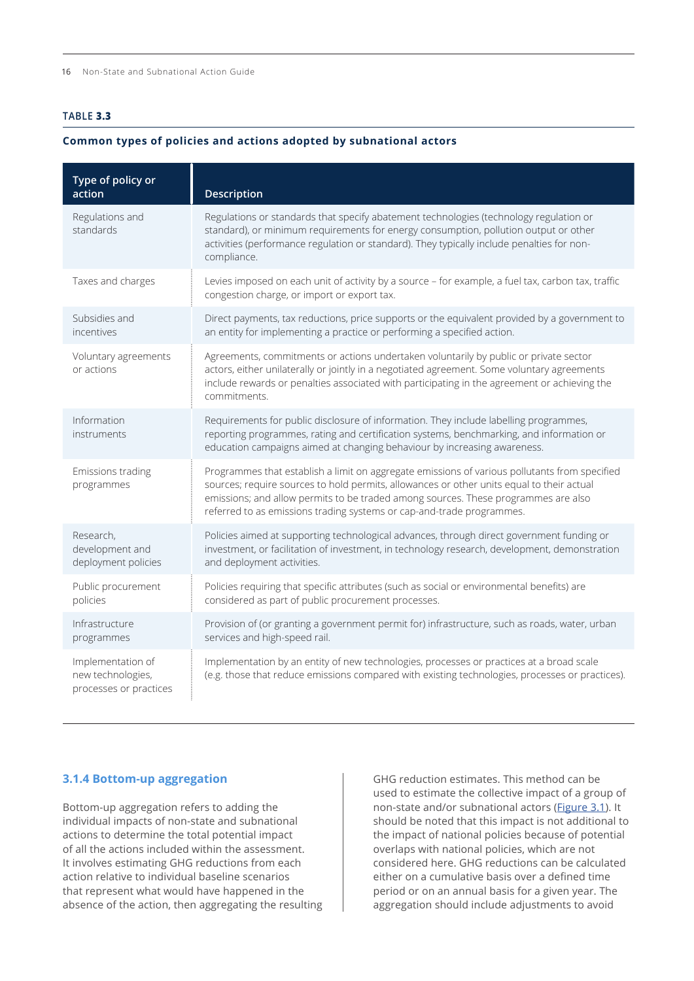## <span id="page-3-0"></span>**TABLE 3.3**

#### **Common types of policies and actions adopted by subnational actors**

| Type of policy or<br>action                                      | Description                                                                                                                                                                                                                                                                                                                                               |
|------------------------------------------------------------------|-----------------------------------------------------------------------------------------------------------------------------------------------------------------------------------------------------------------------------------------------------------------------------------------------------------------------------------------------------------|
| Regulations and<br>standards                                     | Regulations or standards that specify abatement technologies (technology regulation or<br>standard), or minimum requirements for energy consumption, pollution output or other<br>activities (performance regulation or standard). They typically include penalties for non-<br>compliance.                                                               |
| Taxes and charges                                                | Levies imposed on each unit of activity by a source - for example, a fuel tax, carbon tax, traffic<br>congestion charge, or import or export tax.                                                                                                                                                                                                         |
| Subsidies and<br>incentives                                      | Direct payments, tax reductions, price supports or the equivalent provided by a government to<br>an entity for implementing a practice or performing a specified action.                                                                                                                                                                                  |
| Voluntary agreements<br>or actions                               | Agreements, commitments or actions undertaken voluntarily by public or private sector<br>actors, either unilaterally or jointly in a negotiated agreement. Some voluntary agreements<br>include rewards or penalties associated with participating in the agreement or achieving the<br>commitments.                                                      |
| Information<br>instruments                                       | Requirements for public disclosure of information. They include labelling programmes,<br>reporting programmes, rating and certification systems, benchmarking, and information or<br>education campaigns aimed at changing behaviour by increasing awareness.                                                                                             |
| Emissions trading<br>programmes                                  | Programmes that establish a limit on aggregate emissions of various pollutants from specified<br>sources; require sources to hold permits, allowances or other units equal to their actual<br>emissions; and allow permits to be traded among sources. These programmes are also<br>referred to as emissions trading systems or cap-and-trade programmes. |
| Research,<br>development and<br>deployment policies              | Policies aimed at supporting technological advances, through direct government funding or<br>investment, or facilitation of investment, in technology research, development, demonstration<br>and deployment activities.                                                                                                                                  |
| Public procurement<br>policies                                   | Policies requiring that specific attributes (such as social or environmental benefits) are<br>considered as part of public procurement processes.                                                                                                                                                                                                         |
| Infrastructure<br>programmes                                     | Provision of (or granting a government permit for) infrastructure, such as roads, water, urban<br>services and high-speed rail.                                                                                                                                                                                                                           |
| Implementation of<br>new technologies,<br>processes or practices | Implementation by an entity of new technologies, processes or practices at a broad scale<br>(e.g. those that reduce emissions compared with existing technologies, processes or practices).                                                                                                                                                               |

# **3.1.4 Bottom-up aggregation**

Bottom-up aggregation refers to adding the individual impacts of non-state and subnational actions to determine the total potential impact of all the actions included within the assessment. It involves estimating GHG reductions from each action relative to individual baseline scenarios that represent what would have happened in the absence of the action, then aggregating the resulting GHG reduction estimates. This method can be used to estimate the collective impact of a group of non-state and/or subnational actors ([Figure 3.1](#page-4-0)). It should be noted that this impact is not additional to the impact of national policies because of potential overlaps with national policies, which are not considered here. GHG reductions can be calculated either on a cumulative basis over a defined time period or on an annual basis for a given year. The aggregation should include adjustments to avoid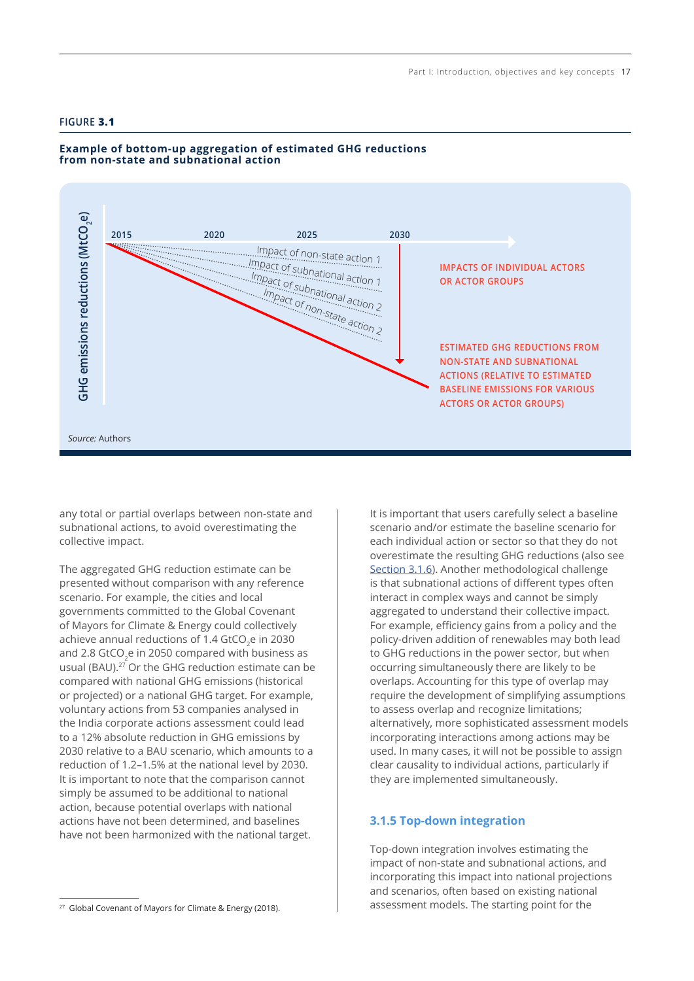## <span id="page-4-0"></span>**FIGURE 3.1**



# **Example of bottom-up aggregation of estimated GHG reductions from non-state and subnational action**

any total or partial overlaps between non-state and subnational actions, to avoid overestimating the collective impact.

The aggregated GHG reduction estimate can be presented without comparison with any reference scenario. For example, the cities and local governments committed to the Global Covenant of Mayors for Climate & Energy could collectively achieve annual reductions of 1.4 GtCO<sub>2</sub>e in 2030 and 2.8 GtCO<sub>2</sub>e in 2050 compared with business as usual (BAU).<sup>27</sup> Or the GHG reduction estimate can be compared with national GHG emissions (historical or projected) or a national GHG target. For example, voluntary actions from 53 companies analysed in the India corporate actions assessment could lead to a 12% absolute reduction in GHG emissions by 2030 relative to a BAU scenario, which amounts to a reduction of 1.2–1.5% at the national level by 2030. It is important to note that the comparison cannot simply be assumed to be additional to national action, because potential overlaps with national actions have not been determined, and baselines have not been harmonized with the national target.

It is important that users carefully select a baseline scenario and/or estimate the baseline scenario for each individual action or sector so that they do not overestimate the resulting GHG reductions (also see [Section 3.1.6](#page-5-0)). Another methodological challenge is that subnational actions of different types often interact in complex ways and cannot be simply aggregated to understand their collective impact. For example, efficiency gains from a policy and the policy-driven addition of renewables may both lead to GHG reductions in the power sector, but when occurring simultaneously there are likely to be overlaps. Accounting for this type of overlap may require the development of simplifying assumptions to assess overlap and recognize limitations; alternatively, more sophisticated assessment models incorporating interactions among actions may be used. In many cases, it will not be possible to assign clear causality to individual actions, particularly if they are implemented simultaneously.

# **3.1.5 Top-down integration**

Top-down integration involves estimating the impact of non-state and subnational actions, and incorporating this impact into national projections and scenarios, often based on existing national assessment models. The starting point for the

<sup>&</sup>lt;sup>27</sup> Global Covenant of Mayors for Climate & Energy (2018).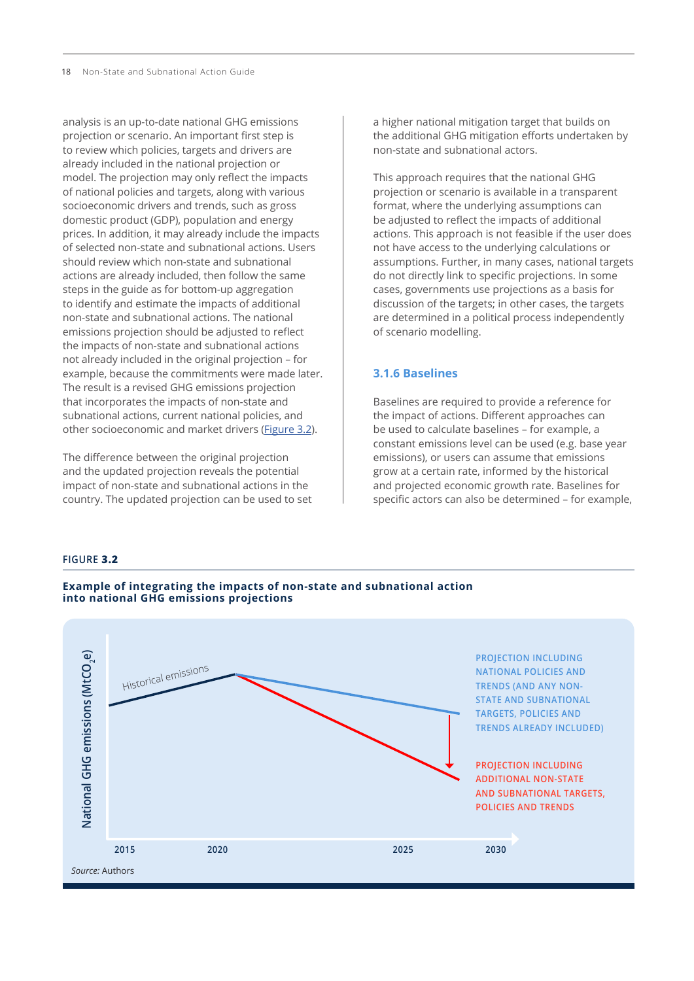<span id="page-5-0"></span>analysis is an up-to-date national GHG emissions projection or scenario. An important first step is to review which policies, targets and drivers are already included in the national projection or model. The projection may only reflect the impacts of national policies and targets, along with various socioeconomic drivers and trends, such as gross domestic product (GDP), population and energy prices. In addition, it may already include the impacts of selected non-state and subnational actions. Users should review which non-state and subnational actions are already included, then follow the same steps in the guide as for bottom-up aggregation to identify and estimate the impacts of additional non-state and subnational actions. The national emissions projection should be adjusted to reflect the impacts of non-state and subnational actions not already included in the original projection – for example, because the commitments were made later. The result is a revised GHG emissions projection that incorporates the impacts of non-state and subnational actions, current national policies, and other socioeconomic and market drivers (Figure 3.2).

The difference between the original projection and the updated projection reveals the potential impact of non-state and subnational actions in the country. The updated projection can be used to set a higher national mitigation target that builds on the additional GHG mitigation efforts undertaken by non-state and subnational actors.

This approach requires that the national GHG projection or scenario is available in a transparent format, where the underlying assumptions can be adjusted to reflect the impacts of additional actions. This approach is not feasible if the user does not have access to the underlying calculations or assumptions. Further, in many cases, national targets do not directly link to specific projections. In some cases, governments use projections as a basis for discussion of the targets; in other cases, the targets are determined in a political process independently of scenario modelling.

# **3.1.6 Baselines**

Baselines are required to provide a reference for the impact of actions. Different approaches can be used to calculate baselines – for example, a constant emissions level can be used (e.g. base year emissions), or users can assume that emissions grow at a certain rate, informed by the historical and projected economic growth rate. Baselines for specific actors can also be determined – for example,

#### **FIGURE 3.2**



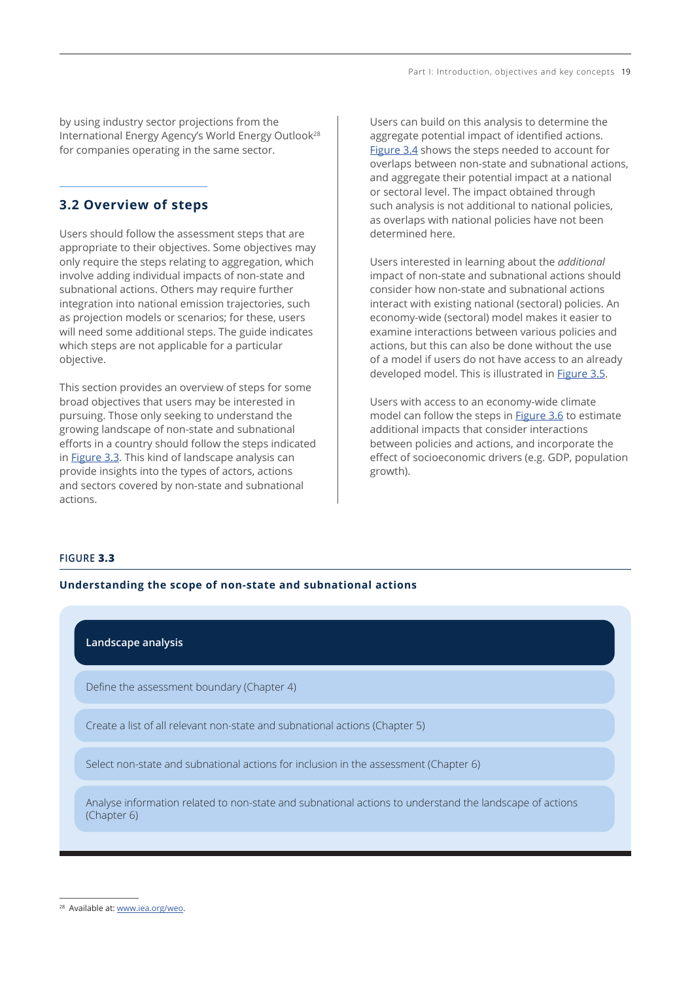by using industry sector projections from the International Energy Agency's World Energy Outlook28 for companies operating in the same sector.

# **3.2 Overview of steps**

Users should follow the assessment steps that are appropriate to their objectives. Some objectives may only require the steps relating to aggregation, which involve adding individual impacts of non-state and subnational actions. Others may require further integration into national emission trajectories, such as projection models or scenarios; for these, users will need some additional steps. The guide indicates which steps are not applicable for a particular objective.

This section provides an overview of steps for some broad objectives that users may be interested in pursuing. Those only seeking to understand the growing landscape of non-state and subnational efforts in a country should follow the steps indicated in Figure 3.3. This kind of landscape analysis can provide insights into the types of actors, actions and sectors covered by non-state and subnational actions.

Users can build on this analysis to determine the aggregate potential impact of identified actions. [Figure 3.4](#page-7-0) shows the steps needed to account for overlaps between non-state and subnational actions, and aggregate their potential impact at a national or sectoral level. The impact obtained through such analysis is not additional to national policies, as overlaps with national policies have not been determined here.

Users interested in learning about the *additional* impact of non-state and subnational actions should consider how non-state and subnational actions interact with existing national (sectoral) policies. An economy-wide (sectoral) model makes it easier to examine interactions between various policies and actions, but this can also be done without the use of a model if users do not have access to an already developed model. This is illustrated in **[Figure 3.5](#page-8-0).** 

Users with access to an economy-wide climate model can follow the steps in [Figure 3.6](#page-9-0) to estimate additional impacts that consider interactions between policies and actions, and incorporate the effect of socioeconomic drivers (e.g. GDP, population growth).

## **FIGURE 3.3**

## **Understanding the scope of non-state and subnational actions**

# **Landscape analysis**

Define the assessment boundary (Chapter 4)

Create a list of all relevant non-state and subnational actions (Chapter 5)

Select non-state and subnational actions for inclusion in the assessment (Chapter 6)

Analyse information related to non-state and subnational actions to understand the landscape of actions (Chapter 6)

<sup>&</sup>lt;sup>28</sup> Available at: [www.iea.org/weo](http://www.iea.org/weo).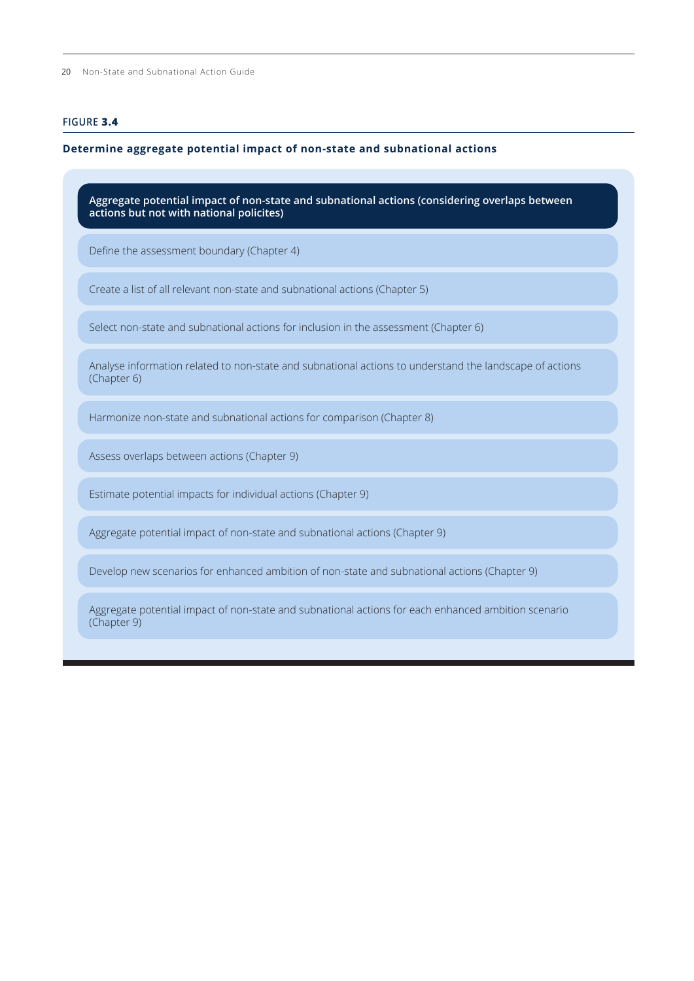<span id="page-7-0"></span>20 Non-State and Subnational Action Guide

# **FIGURE 3.4**

# **Determine aggregate potential impact of non-state and subnational actions**

| Define the assessment boundary (Chapter 4)<br>Create a list of all relevant non-state and subnational actions (Chapter 5)<br>Select non-state and subnational actions for inclusion in the assessment (Chapter 6)<br>Analyse information related to non-state and subnational actions to understand the landscape of actions<br>(Chapter 6)<br>Harmonize non-state and subnational actions for comparison (Chapter 8)<br>Assess overlaps between actions (Chapter 9)<br>Estimate potential impacts for individual actions (Chapter 9)<br>Aggregate potential impact of non-state and subnational actions (Chapter 9) | Aggregate potential impact of non-state and subnational actions (considering overlaps between<br>actions but not with national policites) |  |  |  |
|----------------------------------------------------------------------------------------------------------------------------------------------------------------------------------------------------------------------------------------------------------------------------------------------------------------------------------------------------------------------------------------------------------------------------------------------------------------------------------------------------------------------------------------------------------------------------------------------------------------------|-------------------------------------------------------------------------------------------------------------------------------------------|--|--|--|
|                                                                                                                                                                                                                                                                                                                                                                                                                                                                                                                                                                                                                      |                                                                                                                                           |  |  |  |
|                                                                                                                                                                                                                                                                                                                                                                                                                                                                                                                                                                                                                      |                                                                                                                                           |  |  |  |
|                                                                                                                                                                                                                                                                                                                                                                                                                                                                                                                                                                                                                      |                                                                                                                                           |  |  |  |
|                                                                                                                                                                                                                                                                                                                                                                                                                                                                                                                                                                                                                      |                                                                                                                                           |  |  |  |
|                                                                                                                                                                                                                                                                                                                                                                                                                                                                                                                                                                                                                      |                                                                                                                                           |  |  |  |
|                                                                                                                                                                                                                                                                                                                                                                                                                                                                                                                                                                                                                      |                                                                                                                                           |  |  |  |
|                                                                                                                                                                                                                                                                                                                                                                                                                                                                                                                                                                                                                      |                                                                                                                                           |  |  |  |
|                                                                                                                                                                                                                                                                                                                                                                                                                                                                                                                                                                                                                      |                                                                                                                                           |  |  |  |
| Develop new scenarios for enhanced ambition of non-state and subnational actions (Chapter 9)                                                                                                                                                                                                                                                                                                                                                                                                                                                                                                                         |                                                                                                                                           |  |  |  |

Aggregate potential impact of non-state and subnational actions for each enhanced ambition scenario (Chapter 9)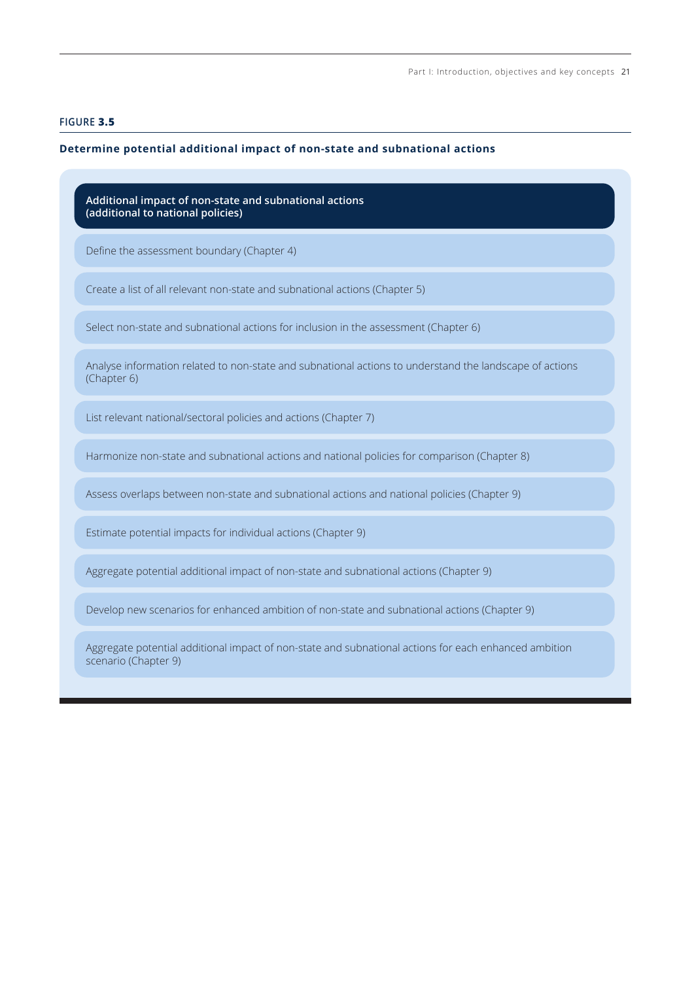## <span id="page-8-0"></span>**FIGURE 3.5**

#### **Determine potential additional impact of non-state and subnational actions**

**Additional impact of non-state and subnational actions (additional to national policies)**

Define the assessment boundary (Chapter 4)

Create a list of all relevant non-state and subnational actions (Chapter 5)

Select non-state and subnational actions for inclusion in the assessment (Chapter 6)

Analyse information related to non-state and subnational actions to understand the landscape of actions (Chapter 6)

List relevant national/sectoral policies and actions (Chapter 7)

Harmonize non-state and subnational actions and national policies for comparison (Chapter 8)

Assess overlaps between non-state and subnational actions and national policies (Chapter 9)

Estimate potential impacts for individual actions (Chapter 9)

Aggregate potential additional impact of non-state and subnational actions (Chapter 9)

Develop new scenarios for enhanced ambition of non-state and subnational actions (Chapter 9)

Aggregate potential additional impact of non-state and subnational actions for each enhanced ambition scenario (Chapter 9)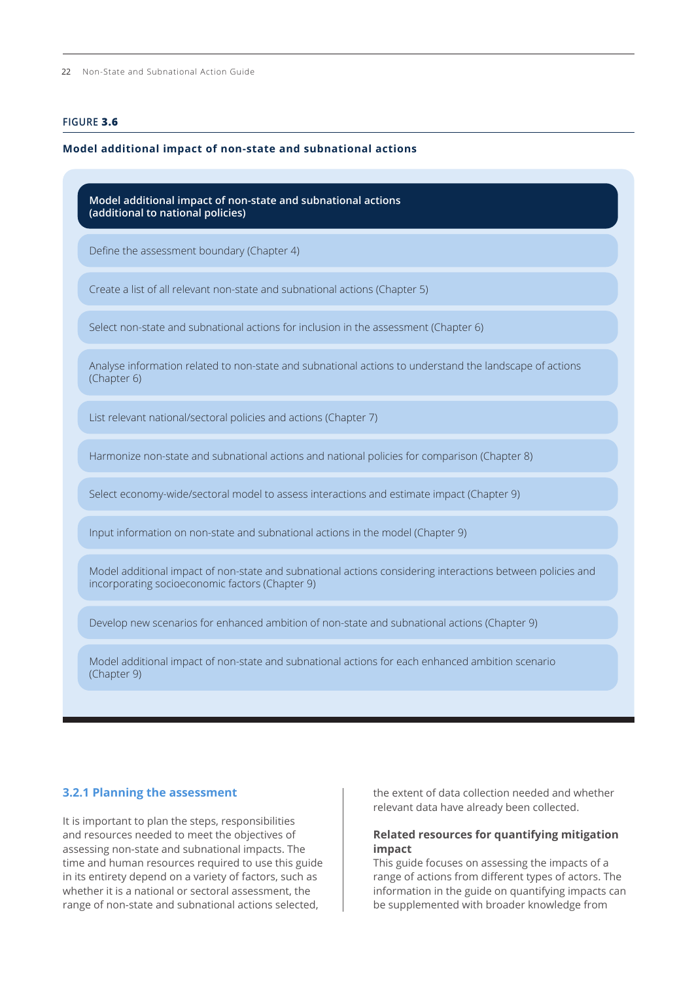# <span id="page-9-0"></span>**FIGURE 3.6**

#### **Model additional impact of non-state and subnational actions**

| Model additional impact of non-state and subnational actions<br>(additional to national policies)                                                             |  |  |  |
|---------------------------------------------------------------------------------------------------------------------------------------------------------------|--|--|--|
| Define the assessment boundary (Chapter 4)                                                                                                                    |  |  |  |
| Create a list of all relevant non-state and subnational actions (Chapter 5)                                                                                   |  |  |  |
| Select non-state and subnational actions for inclusion in the assessment (Chapter 6)                                                                          |  |  |  |
| Analyse information related to non-state and subnational actions to understand the landscape of actions<br>(Chapter 6)                                        |  |  |  |
| List relevant national/sectoral policies and actions (Chapter 7)                                                                                              |  |  |  |
| Harmonize non-state and subnational actions and national policies for comparison (Chapter 8)                                                                  |  |  |  |
| Select economy-wide/sectoral model to assess interactions and estimate impact (Chapter 9)                                                                     |  |  |  |
| Input information on non-state and subnational actions in the model (Chapter 9)                                                                               |  |  |  |
| Model additional impact of non-state and subnational actions considering interactions between policies and<br>incorporating socioeconomic factors (Chapter 9) |  |  |  |
| Develop new scenarios for enhanced ambition of non-state and subnational actions (Chapter 9)                                                                  |  |  |  |
| Model additional impact of non-state and subnational actions for each enhanced ambition scenario<br>(Chapter 9)                                               |  |  |  |

## **3.2.1 Planning the assessment**

It is important to plan the steps, responsibilities and resources needed to meet the objectives of assessing non-state and subnational impacts. The time and human resources required to use this guide in its entirety depend on a variety of factors, such as whether it is a national or sectoral assessment, the range of non-state and subnational actions selected,

the extent of data collection needed and whether relevant data have already been collected.

# **Related resources for quantifying mitigation impact**

This guide focuses on assessing the impacts of a range of actions from different types of actors. The information in the guide on quantifying impacts can be supplemented with broader knowledge from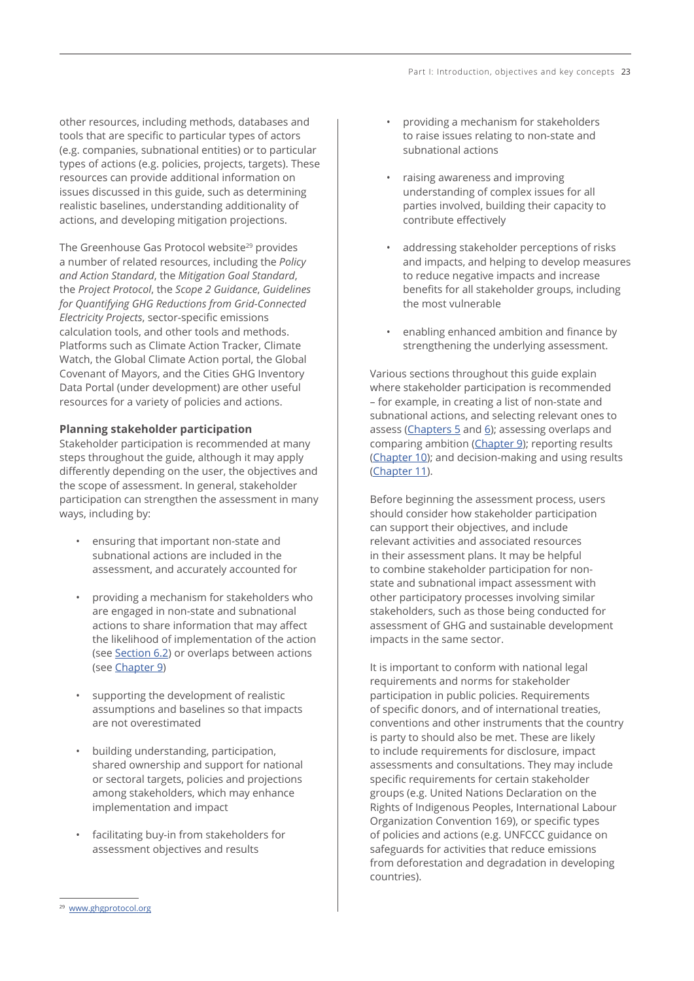other resources, including methods, databases and tools that are specific to particular types of actors (e.g. companies, subnational entities) or to particular types of actions (e.g. policies, projects, targets). These resources can provide additional information on issues discussed in this guide, such as determining realistic baselines, understanding additionality of actions, and developing mitigation projections.

The Greenhouse Gas Protocol website<sup>29</sup> provides a number of related resources, including the *Policy and Action Standard*, the *Mitigation Goal Standard*, the *Project Protocol*, the *Scope 2 Guidance*, *Guidelines for Quantifying GHG Reductions from Grid-Connected Electricity Projects*, sector-specific emissions calculation tools, and other tools and methods. Platforms such as Climate Action Tracker, Climate Watch, the Global Climate Action portal, the Global Covenant of Mayors, and the Cities GHG Inventory Data Portal (under development) are other useful resources for a variety of policies and actions.

## **Planning stakeholder participation**

Stakeholder participation is recommended at many steps throughout the guide, although it may apply differently depending on the user, the objectives and the scope of assessment. In general, stakeholder participation can strengthen the assessment in many ways, including by:

- ensuring that important non-state and subnational actions are included in the assessment, and accurately accounted for
- providing a mechanism for stakeholders who are engaged in non-state and subnational actions to share information that may affect the likelihood of implementation of the action (see Section 6.2) or overlaps between actions (see Chapter 9)
- supporting the development of realistic assumptions and baselines so that impacts are not overestimated
- building understanding, participation, shared ownership and support for national or sectoral targets, policies and projections among stakeholders, which may enhance implementation and impact
- facilitating buy-in from stakeholders for assessment objectives and results
- providing a mechanism for stakeholders to raise issues relating to non-state and subnational actions
- raising awareness and improving understanding of complex issues for all parties involved, building their capacity to contribute effectively
- addressing stakeholder perceptions of risks and impacts, and helping to develop measures to reduce negative impacts and increase benefits for all stakeholder groups, including the most vulnerable
- enabling enhanced ambition and finance by strengthening the underlying assessment.

Various sections throughout this guide explain where stakeholder participation is recommended – for example, in creating a list of non-state and subnational actions, and selecting relevant ones to assess (Chapters  $5$  and  $6$ ); assessing overlaps and comparing ambition (Chapter 9); reporting results (Chapter 10); and decision-making and using results (Chapter 11).

Before beginning the assessment process, users should consider how stakeholder participation can support their objectives, and include relevant activities and associated resources in their assessment plans. It may be helpful to combine stakeholder participation for nonstate and subnational impact assessment with other participatory processes involving similar stakeholders, such as those being conducted for assessment of GHG and sustainable development impacts in the same sector.

It is important to conform with national legal requirements and norms for stakeholder participation in public policies. Requirements of specific donors, and of international treaties, conventions and other instruments that the country is party to should also be met. These are likely to include requirements for disclosure, impact assessments and consultations. They may include specific requirements for certain stakeholder groups (e.g. United Nations Declaration on the Rights of Indigenous Peoples, International Labour Organization Convention 169), or specific types of policies and actions (e.g. UNFCCC guidance on safeguards for activities that reduce emissions from deforestation and degradation in developing countries).

<sup>29</sup> [www.ghgprotocol.org](http://www.ghgprotocol.org)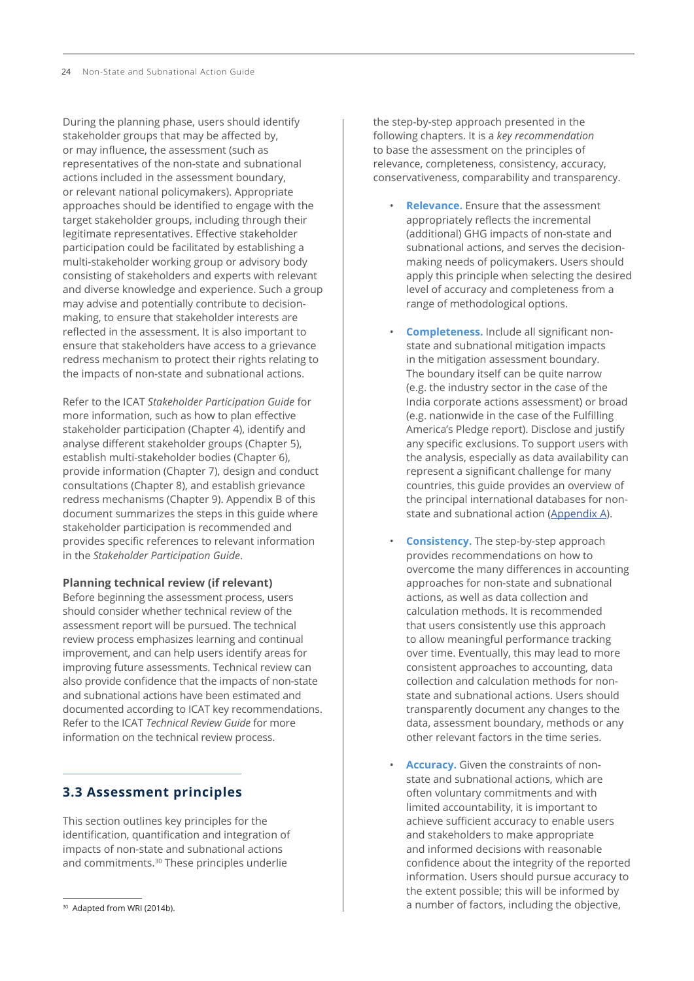During the planning phase, users should identify stakeholder groups that may be affected by, or may influence, the assessment (such as representatives of the non-state and subnational actions included in the assessment boundary, or relevant national policymakers). Appropriate approaches should be identified to engage with the target stakeholder groups, including through their legitimate representatives. Effective stakeholder participation could be facilitated by establishing a multi-stakeholder working group or advisory body consisting of stakeholders and experts with relevant and diverse knowledge and experience. Such a group may advise and potentially contribute to decisionmaking, to ensure that stakeholder interests are reflected in the assessment. It is also important to ensure that stakeholders have access to a grievance redress mechanism to protect their rights relating to the impacts of non-state and subnational actions.

Refer to the ICAT *Stakeholder Participation Guide* for more information, such as how to plan effective stakeholder participation (Chapter 4), identify and analyse different stakeholder groups (Chapter 5), establish multi-stakeholder bodies (Chapter 6), provide information (Chapter 7), design and conduct consultations (Chapter 8), and establish grievance redress mechanisms (Chapter 9). Appendix B of this document summarizes the steps in this guide where stakeholder participation is recommended and provides specific references to relevant information in the *Stakeholder Participation Guide*.

## **Planning technical review (if relevant)**

Before beginning the assessment process, users should consider whether technical review of the assessment report will be pursued. The technical review process emphasizes learning and continual improvement, and can help users identify areas for improving future assessments. Technical review can also provide confidence that the impacts of non-state and subnational actions have been estimated and documented according to ICAT key recommendations. Refer to the ICAT *Technical Review Guide* for more information on the technical review process.

# **3.3 Assessment principles**

This section outlines key principles for the identification, quantification and integration of impacts of non-state and subnational actions and commitments.<sup>30</sup> These principles underlie

the step-by-step approach presented in the following chapters. It is a *key recommendation* to base the assessment on the principles of relevance, completeness, consistency, accuracy, conservativeness, comparability and transparency.

- **Relevance.** Ensure that the assessment appropriately reflects the incremental (additional) GHG impacts of non-state and subnational actions, and serves the decisionmaking needs of policymakers. Users should apply this principle when selecting the desired level of accuracy and completeness from a range of methodological options.
- **Completeness.** Include all significant nonstate and subnational mitigation impacts in the mitigation assessment boundary. The boundary itself can be quite narrow (e.g. the industry sector in the case of the India corporate actions assessment) or broad (e.g. nationwide in the case of the Fulfilling America's Pledge report). Disclose and justify any specific exclusions. To support users with the analysis, especially as data availability can represent a significant challenge for many countries, this guide provides an overview of the principal international databases for nonstate and subnational action (Appendix A).
- **Consistency.** The step-by-step approach provides recommendations on how to overcome the many differences in accounting approaches for non-state and subnational actions, as well as data collection and calculation methods. It is recommended that users consistently use this approach to allow meaningful performance tracking over time. Eventually, this may lead to more consistent approaches to accounting, data collection and calculation methods for nonstate and subnational actions. Users should transparently document any changes to the data, assessment boundary, methods or any other relevant factors in the time series.
- **Accuracy.** Given the constraints of nonstate and subnational actions, which are often voluntary commitments and with limited accountability, it is important to achieve sufficient accuracy to enable users and stakeholders to make appropriate and informed decisions with reasonable confidence about the integrity of the reported information. Users should pursue accuracy to the extent possible; this will be informed by a number of factors, including the objective,

<sup>&</sup>lt;sup>30</sup> Adapted from WRI (2014b).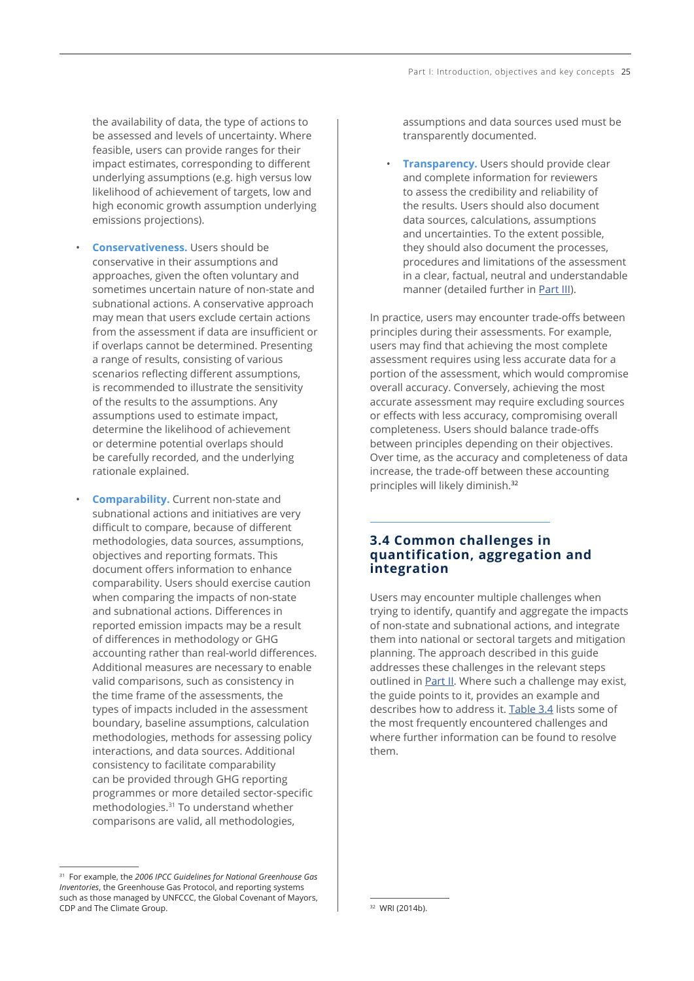the availability of data, the type of actions to be assessed and levels of uncertainty. Where feasible, users can provide ranges for their impact estimates, corresponding to different underlying assumptions (e.g. high versus low likelihood of achievement of targets, low and high economic growth assumption underlying emissions projections).

- **Conservativeness.** Users should be conservative in their assumptions and approaches, given the often voluntary and sometimes uncertain nature of non-state and subnational actions. A conservative approach may mean that users exclude certain actions from the assessment if data are insufficient or if overlaps cannot be determined. Presenting a range of results, consisting of various scenarios reflecting different assumptions, is recommended to illustrate the sensitivity of the results to the assumptions. Any assumptions used to estimate impact, determine the likelihood of achievement or determine potential overlaps should be carefully recorded, and the underlying rationale explained.
- **Comparability.** Current non-state and subnational actions and initiatives are very difficult to compare, because of different methodologies, data sources, assumptions, objectives and reporting formats. This document offers information to enhance comparability. Users should exercise caution when comparing the impacts of non-state and subnational actions. Differences in reported emission impacts may be a result of differences in methodology or GHG accounting rather than real-world differences. Additional measures are necessary to enable valid comparisons, such as consistency in the time frame of the assessments, the types of impacts included in the assessment boundary, baseline assumptions, calculation methodologies, methods for assessing policy interactions, and data sources. Additional consistency to facilitate comparability can be provided through GHG reporting programmes or more detailed sector-specific methodologies.<sup>31</sup> To understand whether comparisons are valid, all methodologies,

assumptions and data sources used must be transparently documented.

**Transparency.** Users should provide clear and complete information for reviewers to assess the credibility and reliability of the results. Users should also document data sources, calculations, assumptions and uncertainties. To the extent possible, they should also document the processes, procedures and limitations of the assessment in a clear, factual, neutral and understandable manner (detailed further in Part III).

In practice, users may encounter trade-offs between principles during their assessments. For example, users may find that achieving the most complete assessment requires using less accurate data for a portion of the assessment, which would compromise overall accuracy. Conversely, achieving the most accurate assessment may require excluding sources or effects with less accuracy, compromising overall completeness. Users should balance trade-offs between principles depending on their objectives. Over time, as the accuracy and completeness of data increase, the trade-off between these accounting principles will likely diminish.32

# **3.4 Common challenges in quantification, aggregation and integration**

Users may encounter multiple challenges when trying to identify, quantify and aggregate the impacts of non-state and subnational actions, and integrate them into national or sectoral targets and mitigation planning. The approach described in this guide addresses these challenges in the relevant steps outlined in **Part II**. Where such a challenge may exist, the guide points to it, provides an example and describes how to address it. [Table 3.4](#page-13-0) lists some of the most frequently encountered challenges and where further information can be found to resolve them.

<sup>31</sup> For example, the *2006 IPCC Guidelines for National Greenhouse Gas Inventories*, the Greenhouse Gas Protocol, and reporting systems such as those managed by UNFCCC, the Global Covenant of Mayors, CDP and The Climate Group.

<sup>32</sup> WRI (2014b).